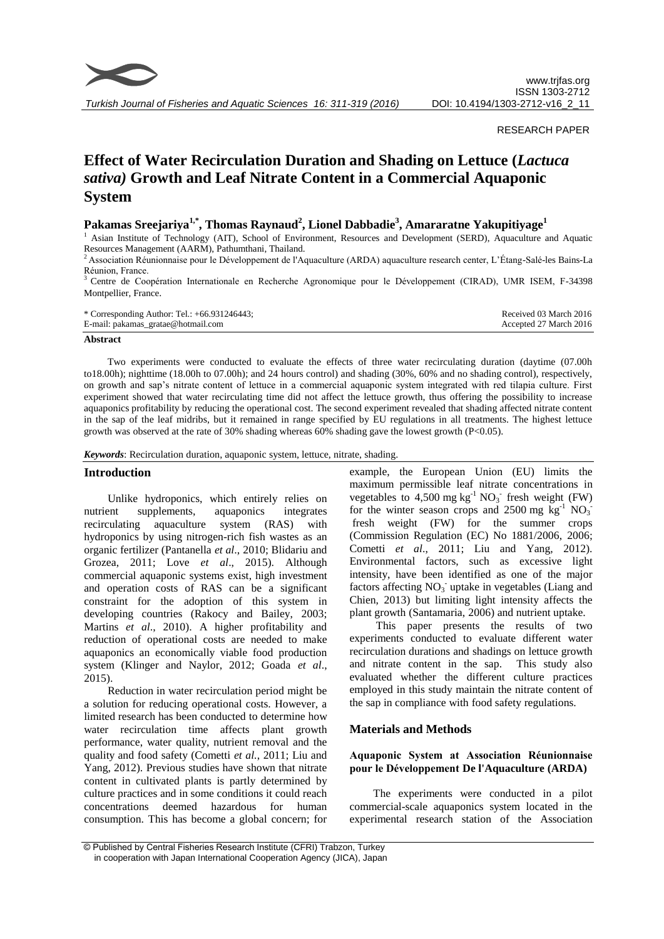

*Turkish Journal of Fisheries and Aquatic Sciences 16: 311-319 (2016)*

### RESEARCH PAPER

# **Effect of Water Recirculation Duration and Shading on Lettuce (***Lactuca sativa)* **Growth and Leaf Nitrate Content in a Commercial Aquaponic System**

# **Pakamas Sreejariya1,\* , Thomas Raynaud<sup>2</sup> , Lionel Dabbadie<sup>3</sup> , Amararatne Yakupitiyage<sup>1</sup>**

<sup>1</sup> Asian Institute of Technology (AIT), School of Environment, Resources and Development (SERD), Aquaculture and Aquatic Resources Management (AARM), Pathumthani, Thailand.

<sup>2</sup>Association Réunionnaise pour le Développement de l'Aquaculture (ARDA) aquaculture research center, L'Étang-Salé-les Bains-La Réunion, France.

<sup>3</sup>Centre de Coopération Internationale en Recherche Agronomique pour le Développement (CIRAD), UMR ISEM, F-34398 Montpellier, France.

| * Corresponding Author: Tel.: $+66.931246443$ ; | Received 03 March 2016 |
|-------------------------------------------------|------------------------|
| E-mail: pakamas_gratae@hotmail.com              | Accepted 27 March 2016 |

#### **Abstract**

Two experiments were conducted to evaluate the effects of three water recirculating duration (daytime (07.00h to18.00h); nighttime (18.00h to 07.00h); and 24 hours control) and shading (30%, 60% and no shading control), respectively, on growth and sap's nitrate content of lettuce in a commercial aquaponic system integrated with red tilapia culture. First experiment showed that water recirculating time did not affect the lettuce growth, thus offering the possibility to increase aquaponics profitability by reducing the operational cost. The second experiment revealed that shading affected nitrate content in the sap of the leaf midribs, but it remained in range specified by EU regulations in all treatments. The highest lettuce growth was observed at the rate of 30% shading whereas 60% shading gave the lowest growth (P<0.05).

*Keywords*: Recirculation duration, aquaponic system, lettuce, nitrate, shading.

# **Introduction**

Unlike hydroponics, which entirely relies on nutrient supplements, aquaponics integrates recirculating aquaculture system (RAS) with hydroponics by using nitrogen-rich fish wastes as an organic fertilizer (Pantanella *et al*., 2010; Blidariu and Grozea, 2011; Love et al., 2015). Although commercial aquaponic systems exist, high investment and operation costs of RAS can be a significant constraint for the adoption of this system in developing countries (Rakocy and Bailey, 2003; Martins *et al*., 2010). A higher profitability and reduction of operational costs are needed to make aquaponics an economically viable food production system (Klinger and Naylor, 2012; Goada *et al*., 2015).

Reduction in water recirculation period might be a solution for reducing operational costs. However, a limited research has been conducted to determine how water recirculation time affects plant growth performance, water quality, nutrient removal and the quality and food safety (Cometti *et al.*, 2011; Liu and Yang, 2012). Previous studies have shown that nitrate content in cultivated plants is partly determined by culture practices and in some conditions it could reach concentrations deemed hazardous for human consumption. This has become a global concern; for example, the European Union (EU) limits the maximum permissible leaf nitrate concentrations in vegetables to  $4,500$  mg kg<sup>-1</sup> NO<sub>3</sub><sup>-</sup> fresh weight (FW) for the winter season crops and  $2500$  mg  $\text{kg}^{-1}$  NO<sub>3</sub> fresh weight (FW) for the summer crops (Commission Regulation (EC) No 1881/2006, 2006; Cometti *et al*., 2011; Liu and Yang, 2012). Environmental factors, such as excessive light intensity, have been identified as one of the major factors affecting  $NO_3$  uptake in vegetables (Liang and Chien, 2013) but limiting light intensity affects the plant growth (Santamaria, 2006) and nutrient uptake.

This paper presents the results of two experiments conducted to evaluate different water recirculation durations and shadings on lettuce growth and nitrate content in the sap. This study also evaluated whether the different culture practices employed in this study maintain the nitrate content of the sap in compliance with food safety regulations.

#### **Materials and Methods**

### **Aquaponic System at Association Réunionnaise pour le Développement De l'Aquaculture (ARDA)**

The experiments were conducted in a pilot commercial-scale aquaponics system located in the experimental research station of the Association

<sup>©</sup> Published by Central Fisheries Research Institute (CFRI) Trabzon, Turkey in cooperation with Japan International Cooperation Agency (JICA), Japan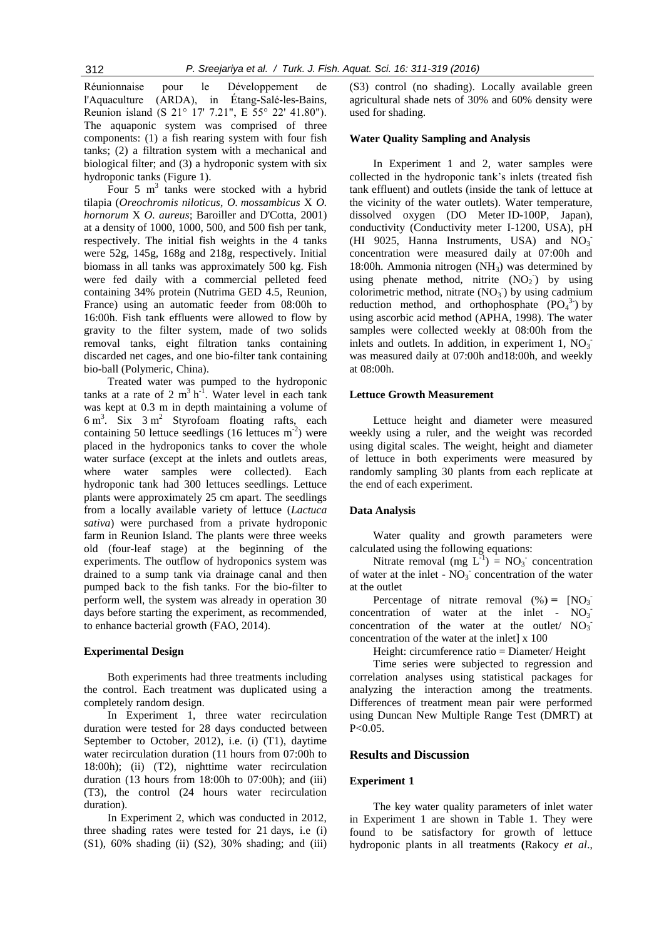Réunionnaise pour le Développement de l'Aquaculture (ARDA), in Étang-Salé-les-Bains, Reunion island (S 21° 17' 7.21", E 55° 22' 41.80"). The aquaponic system was comprised of three components: (1) a fish rearing system with four fish tanks; (2) a filtration system with a mechanical and biological filter; and (3) a hydroponic system with six hydroponic tanks (Figure 1).

Four 5  $m<sup>3</sup>$  tanks were stocked with a hybrid tilapia (*Oreochromis niloticus*, *O. mossambicus* X *O. hornorum* X *O. aureus*; Baroiller and D'Cotta, 2001) at a density of 1000, 1000, 500, and 500 fish per tank, respectively. The initial fish weights in the 4 tanks were 52g, 145g, 168g and 218g, respectively. Initial biomass in all tanks was approximately 500 kg. Fish were fed daily with a commercial pelleted feed containing 34% protein (Nutrima GED 4.5, Reunion, France) using an automatic feeder from 08:00h to 16:00h. Fish tank effluents were allowed to flow by gravity to the filter system, made of two solids removal tanks, eight filtration tanks containing discarded net cages, and one bio-filter tank containing bio-ball (Polymeric, China).

Treated water was pumped to the hydroponic tanks at a rate of 2  $m^3 h^{-1}$ . Water level in each tank was kept at 0.3 m in depth maintaining a volume of 6 m 3 . Six 3 m 2 Styrofoam floating rafts, each containing 50 lettuce seedlings  $(16 \text{ let } u \text{cees m}^{-2})$  were placed in the hydroponics tanks to cover the whole water surface (except at the inlets and outlets areas, where water samples were collected). Each hydroponic tank had 300 lettuces seedlings. Lettuce plants were approximately 25 cm apart. The seedlings from a locally available variety of lettuce (*Lactuca sativa*) were purchased from a private hydroponic farm in Reunion Island. The plants were three weeks old (four-leaf stage) at the beginning of the experiments. The outflow of hydroponics system was drained to a sump tank via drainage canal and then pumped back to the fish tanks. For the bio-filter to perform well, the system was already in operation 30 days before starting the experiment, as recommended, to enhance bacterial growth (FAO, 2014).

#### **Experimental Design**

Both experiments had three treatments including the control. Each treatment was duplicated using a completely random design.

In Experiment 1, three water recirculation duration were tested for 28 days conducted between September to October, 2012), i.e. (i) (T1), daytime water recirculation duration (11 hours from 07:00h to 18:00h); (ii) (T2), nighttime water recirculation duration  $(13 \text{ hours from } 18:00h \text{ to } 07:00h)$ ; and  $(iii)$ (T3), the control (24 hours water recirculation duration).

In Experiment 2, which was conducted in 2012, three shading rates were tested for 21 days, i.e (i) (S1), 60% shading (ii) (S2), 30% shading; and (iii) (S3) control (no shading). Locally available green agricultural shade nets of 30% and 60% density were used for shading.

#### **Water Quality Sampling and Analysis**

In Experiment 1 and 2, water samples were collected in the hydroponic tank's inlets (treated fish tank effluent) and outlets (inside the tank of lettuce at the vicinity of the water outlets). Water temperature, dissolved oxygen (DO Meter ID-100P, Japan), conductivity (Conductivity meter I-1200, USA), pH (HI 9025, Hanna Instruments, USA) and  $\overline{NO_3}$ concentration were measured daily at 07:00h and 18:00h. Ammonia nitrogen  $(NH_3)$  was determined by using phenate method, nitrite  $(NO<sub>2</sub>)$  by using colorimetric method, nitrate  $(NO<sub>3</sub>)$  by using cadmium reduction method, and orthophosphate  $(PO<sub>4</sub><sup>3</sup>)$  by using ascorbic acid method (APHA, 1998). The water samples were collected weekly at 08:00h from the inlets and outlets. In addition, in experiment  $1, NO<sub>3</sub>$ was measured daily at 07:00h and18:00h, and weekly at 08:00h.

#### **Lettuce Growth Measurement**

Lettuce height and diameter were measured weekly using a ruler, and the weight was recorded using digital scales. The weight, height and diameter of lettuce in both experiments were measured by randomly sampling 30 plants from each replicate at the end of each experiment.

#### **Data Analysis**

Water quality and growth parameters were calculated using the following equations:

Nitrate removal (mg  $L^{-1}$ ) = NO<sub>3</sub> concentration of water at the inlet -  $NO<sub>3</sub>$ <sup>-</sup> concentration of the water at the outlet

Percentage of nitrate removal  $(\%) = [NO_3]$ concentration of water at the inlet - $NO<sub>3</sub>$ concentration of the water at the outlet/  $NO_3$ <sup>-</sup> concentration of the water at the inlet] x 100

Height: circumference ratio = Diameter/ Height

Time series were subjected to regression and correlation analyses using statistical packages for analyzing the interaction among the treatments. Differences of treatment mean pair were performed using Duncan New Multiple Range Test (DMRT) at P<0.05.

## **Results and Discussion**

#### **Experiment 1**

The key water quality parameters of inlet water in Experiment 1 are shown in Table 1. They were found to be satisfactory for growth of lettuce hydroponic plants in all treatments **(**Rakocy *et al*.,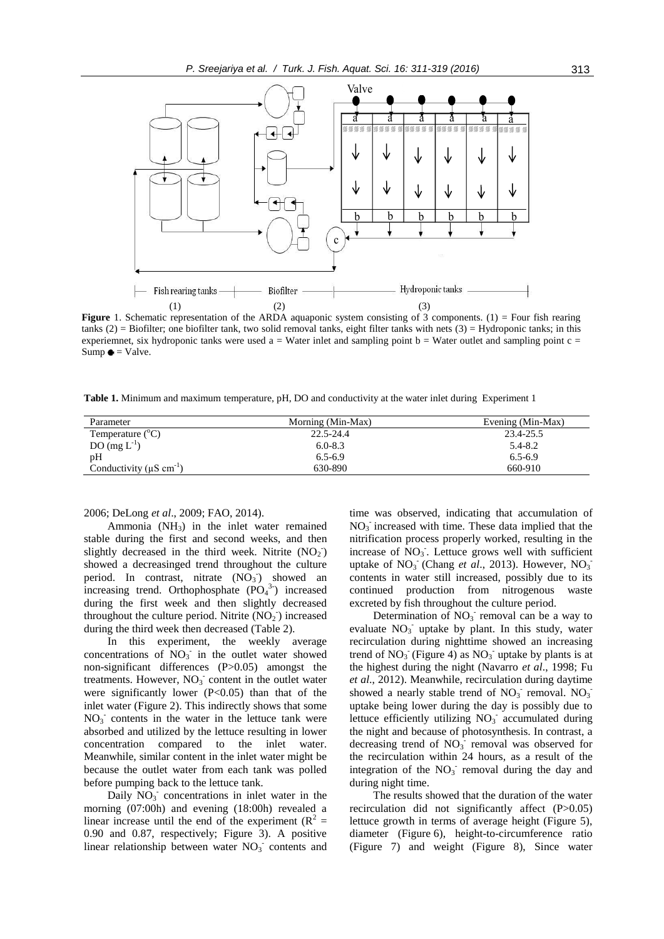

**Figure** 1. Schematic representation of the ARDA aquaponic system consisting of 3 components. (1) = Four fish rearing tanks  $(2)$  = Biofilter; one biofilter tank, two solid removal tanks, eight filter tanks with nets  $(3)$  = Hydroponic tanks; in this experiemnet, six hydroponic tanks were used  $a = Water$  inlet and sampling point  $b = Water$  outlet and sampling point  $c =$  $Sump \bullet = Value.$ 

**Table 1.** Minimum and maximum temperature, pH, DO and conductivity at the water inlet during Experiment 1

| Parameter                              | Morning (Min-Max) | Evening (Min-Max) |
|----------------------------------------|-------------------|-------------------|
| Temperature $(^{\circ}C)$              | 22.5-24.4         | 23.4-25.5         |
| DO $(mg L^{-1})$                       | $6.0 - 8.3$       | $5.4 - 8.2$       |
| pH                                     | $6.5 - 6.9$       | $6.5 - 6.9$       |
| Conductivity $(\mu S \text{ cm}^{-1})$ | 630-890           | 660-910           |

2006; DeLong *et al*., 2009; FAO, 2014).

Ammonia  $(NH_3)$  in the inlet water remained stable during the first and second weeks, and then slightly decreased in the third week. Nitrite  $(NO<sub>2</sub>)$ showed a decreasinged trend throughout the culture period. In contrast, nitrate  $(NO<sub>3</sub>)$  showed an increasing trend. Orthophosphate  $(PO<sub>4</sub><sup>3</sup>)$  increased during the first week and then slightly decreased throughout the culture period. Nitrite  $(NO<sub>2</sub>)$  increased during the third week then decreased (Table 2).

In this experiment, the weekly average concentrations of  $\overline{NO_3}$  in the outlet water showed non-significant differences (P>0.05) amongst the treatments. However,  $NO<sub>3</sub>$  content in the outlet water were significantly lower  $(P<0.05)$  than that of the inlet water (Figure 2). This indirectly shows that some  $NO<sub>3</sub>$  contents in the water in the lettuce tank were absorbed and utilized by the lettuce resulting in lower concentration compared to the inlet water. Meanwhile, similar content in the inlet water might be because the outlet water from each tank was polled before pumping back to the lettuce tank.

Daily  $\overline{NO_3}$  concentrations in inlet water in the morning (07:00h) and evening (18:00h) revealed a linear increase until the end of the experiment  $(R^2 =$ 0.90 and 0.87, respectively; Figure 3). A positive linear relationship between water  $NO<sub>3</sub>$  contents and

time was observed, indicating that accumulation of  $NO<sub>3</sub>$  increased with time. These data implied that the nitrification process properly worked, resulting in the increase of  $\text{NO}_3$ . Lettuce grows well with sufficient uptake of  $NO<sub>3</sub>$ <sup>-</sup> (Chang *et al.*, 2013). However,  $NO<sub>3</sub>$ <sup>-</sup> contents in water still increased, possibly due to its continued production from nitrogenous waste excreted by fish throughout the culture period.

Determination of  $NO<sub>3</sub>$  removal can be a way to evaluate NO<sub>3</sub> uptake by plant. In this study, water recirculation during nighttime showed an increasing trend of  $NO_3$ <sup>-</sup> (Figure 4) as  $NO_3$ <sup>-</sup> uptake by plants is at the highest during the night (Navarro *et al*., 1998; Fu *et al*., 2012). Meanwhile, recirculation during daytime showed a nearly stable trend of  $NO_3$ <sup>-</sup> removal.  $NO_3$ <sup>-</sup> uptake being lower during the day is possibly due to lettuce efficiently utilizing  $NO<sub>3</sub>$  accumulated during the night and because of photosynthesis. In contrast, a decreasing trend of  $NO<sub>3</sub><sup>-</sup>$  removal was observed for the recirculation within 24 hours, as a result of the integration of the  $NO<sub>3</sub>$  removal during the day and during night time.

The results showed that the duration of the water recirculation did not significantly affect (P>0.05) lettuce growth in terms of average height (Figure 5), diameter (Figure 6), height-to-circumference ratio (Figure 7) and weight (Figure 8), Since water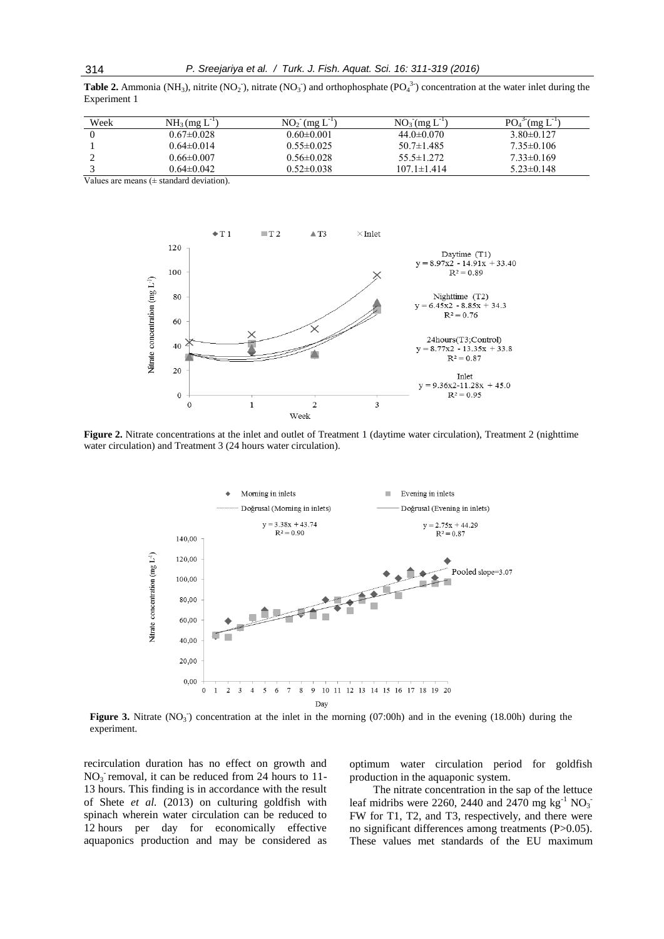**Table 2.** Ammonia (NH<sub>3</sub>), nitrite (NO<sub>2</sub>), nitrate (NO<sub>3</sub>) and orthophosphate (PO<sub>4</sub><sup>3</sup>) concentration at the water inlet during the Experiment 1

| Week | $NH_3$ (mg $L^{-1}$ ) | $NO2$ (mg L)     | $NO_3$ (mg L <sup>-1</sup> ) | $POA$ <sup>3-</sup><br>$\Gamma$ (mg L |
|------|-----------------------|------------------|------------------------------|---------------------------------------|
|      | $0.67 \pm 0.028$      | $0.60 \pm 0.001$ | $44.0 \pm 0.070$             | $3.80 \pm 0.127$                      |
|      | $0.64 \pm 0.014$      | $0.55 \pm 0.025$ | $50.7 \pm 1.485$             | $7.35 \pm 0.106$                      |
|      | 0.66±0.007            | $0.56 \pm 0.028$ | $55.5 \pm 1.272$             | $7.33\pm0.169$                        |
|      | 0.64±0.042            | $0.52 \pm 0.038$ | $107.1 \pm 1.414$            | $5.23 \pm 0.148$                      |

Values are means  $(± standard deviation)$ .



**Figure 2.** Nitrate concentrations at the inlet and outlet of Treatment 1 (daytime water circulation), Treatment 2 (nighttime water circulation) and Treatment 3 (24 hours water circulation).



Figure 3. Nitrate (NO<sub>3</sub>) concentration at the inlet in the morning (07:00h) and in the evening (18.00h) during the experiment.

recirculation duration has no effect on growth and  $NO<sub>3</sub>$  removal, it can be reduced from 24 hours to 11-13 hours. This finding is in accordance with the result of Shete *et al.* (2013) on culturing goldfish with spinach wherein water circulation can be reduced to 12 hours per day for economically effective aquaponics production and may be considered as optimum water circulation period for goldfish production in the aquaponic system.

The nitrate concentration in the sap of the lettuce leaf midribs were 2260, 2440 and 2470 mg kg<sup>-1</sup> NO<sub>3</sub> FW for T1, T2, and T3, respectively, and there were no significant differences among treatments (P>0.05). These values met standards of the EU maximum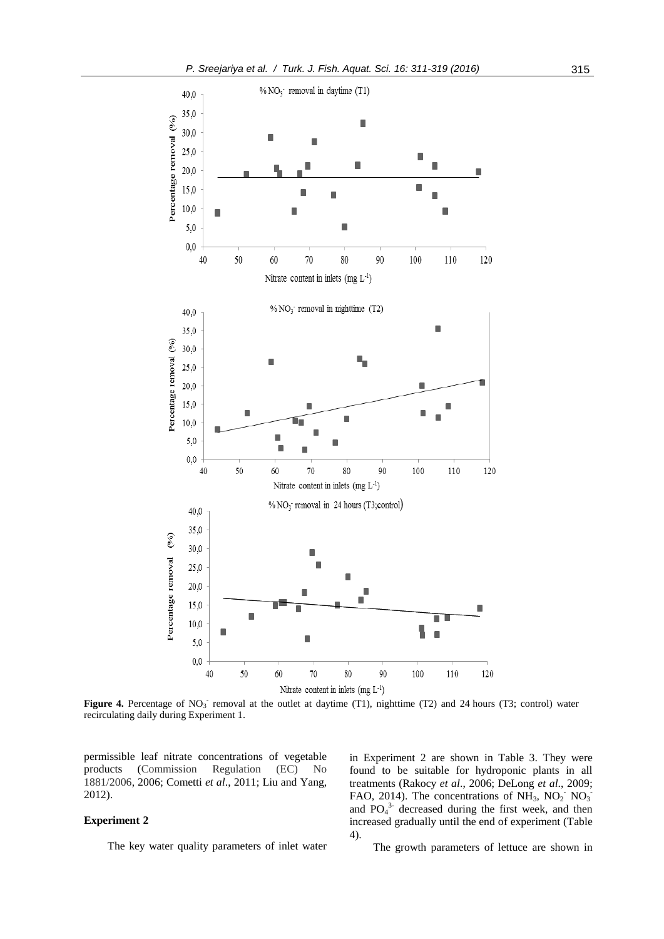

Figure 4. Percentage of NO<sub>3</sub> removal at the outlet at daytime (T1), nighttime (T2) and 24 hours (T3; control) water recirculating daily during Experiment 1.

permissible leaf nitrate concentrations of vegetable products (Commission Regulation (EC) No 1881/2006, 2006; Cometti *et al*., 2011; Liu and Yang, 2012).

#### **Experiment 2**

The key water quality parameters of inlet water

in Experiment 2 are shown in Table 3. They were found to be suitable for hydroponic plants in all treatments (Rakocy *et al*., 2006; DeLong *et al*., 2009; FAO, 2014). The concentrations of  $NH_3$ ,  $NO_2$ <sup>-</sup>  $NO_3$ <sup>-</sup> and  $PO_4^3$  decreased during the first week, and then increased gradually until the end of experiment (Table 4).

The growth parameters of lettuce are shown in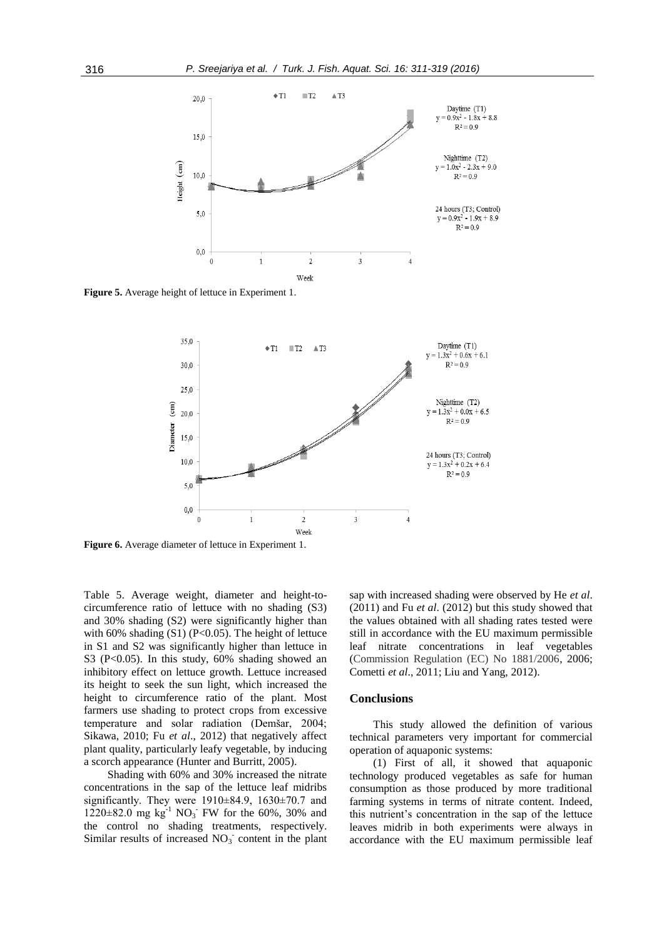

**Figure 5.** Average height of lettuce in Experiment 1.



**Figure 6.** Average diameter of lettuce in Experiment 1.

Table 5. Average weight, diameter and height-tocircumference ratio of lettuce with no shading (S3) and 30% shading (S2) were significantly higher than with 60% shading  $(S1)$  (P<0.05). The height of lettuce in S1 and S2 was significantly higher than lettuce in S3 (P<0.05). In this study, 60% shading showed an inhibitory effect on lettuce growth. Lettuce increased its height to seek the sun light, which increased the height to circumference ratio of the plant. Most farmers use shading to protect crops from excessive temperature and solar radiation (Demšar, 2004; Sikawa, 2010; Fu *et al*., 2012) that negatively affect plant quality, particularly leafy vegetable, by inducing a scorch appearance (Hunter and Burritt, 2005).

Shading with 60% and 30% increased the nitrate concentrations in the sap of the lettuce leaf midribs significantly. They were  $1910\pm84.9$ ,  $1630\pm70.7$  and  $1220 \pm 82.0$  mg kg<sup>-1</sup> NO<sub>3</sub><sup>-</sup> FW for the 60%, 30% and the control no shading treatments, respectively. Similar results of increased  $NO<sub>3</sub>$  content in the plant

sap with increased shading were observed by He *et al*. (2011) and Fu *et al*. (2012) but this study showed that the values obtained with all shading rates tested were still in accordance with the EU maximum permissible leaf nitrate concentrations in leaf vegetables (Commission Regulation (EC) No 1881/2006, 2006; Cometti *et al*., 2011; Liu and Yang, 2012).

#### **Conclusions**

This study allowed the definition of various technical parameters very important for commercial operation of aquaponic systems:

(1) First of all, it showed that aquaponic technology produced vegetables as safe for human consumption as those produced by more traditional farming systems in terms of nitrate content. Indeed, this nutrient's concentration in the sap of the lettuce leaves midrib in both experiments were always in accordance with the EU maximum permissible leaf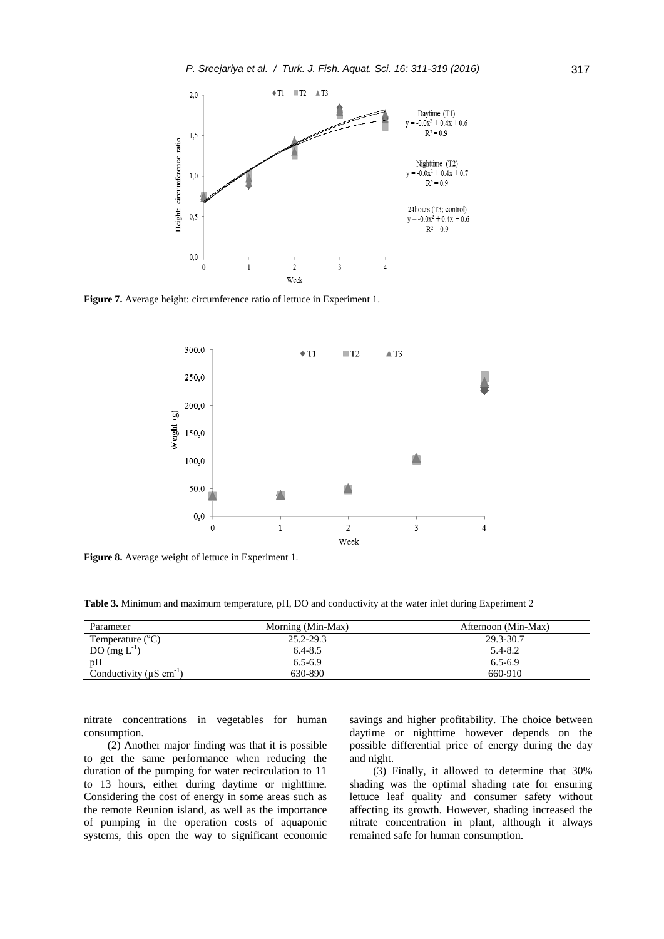

**Figure 7.** Average height: circumference ratio of lettuce in Experiment 1.



**Figure 8.** Average weight of lettuce in Experiment 1.

**Table 3.** Minimum and maximum temperature, pH, DO and conductivity at the water inlet during Experiment 2

| Parameter                              | Morning (Min-Max) | Afternoon (Min-Max) |
|----------------------------------------|-------------------|---------------------|
| Temperature $(^{\circ}C)$              | 25.2-29.3         | 29.3-30.7           |
| DO $(mg L^{-1})$                       | $6.4 - 8.5$       | 5.4-8.2             |
| pH                                     | $6.5 - 6.9$       | $6.5 - 6.9$         |
| Conductivity $(\mu S \text{ cm}^{-1})$ | 630-890           | 660-910             |

nitrate concentrations in vegetables for human consumption.

(2) Another major finding was that it is possible to get the same performance when reducing the duration of the pumping for water recirculation to 11 to 13 hours, either during daytime or nighttime. Considering the cost of energy in some areas such as the remote Reunion island, as well as the importance of pumping in the operation costs of aquaponic systems, this open the way to significant economic savings and higher profitability. The choice between daytime or nighttime however depends on the possible differential price of energy during the day and night.

(3) Finally, it allowed to determine that 30% shading was the optimal shading rate for ensuring lettuce leaf quality and consumer safety without affecting its growth. However, shading increased the nitrate concentration in plant, although it always remained safe for human consumption.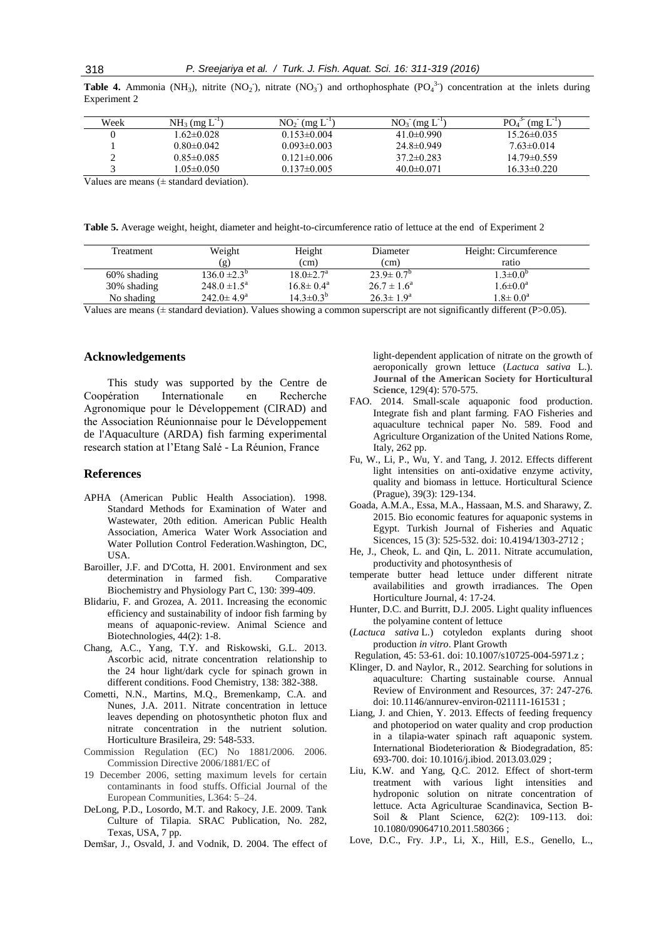|              |  |  |  | <b>Table 4.</b> Ammonia (NH <sub>3</sub> ), nitrite (NO <sub>2</sub> ), nitrate (NO <sub>3</sub> ) and orthophosphate (PO <sub>4</sub> <sup>3</sup> ) concentration at the inlets during |  |  |  |
|--------------|--|--|--|------------------------------------------------------------------------------------------------------------------------------------------------------------------------------------------|--|--|--|
| Experiment 2 |  |  |  |                                                                                                                                                                                          |  |  |  |

| Week | $NH_3$ (mg $L^{-1}$ ) | $NO_2^- (mg L^{-1})$ | $NO_3$ (mg $L^{-1}$ ) | $PO4$ <sup>3-</sup><br>(mg L) |
|------|-----------------------|----------------------|-----------------------|-------------------------------|
|      | 1.62±0.028            | $0.153\pm0.004$      | $41.0 \pm 0.990$      | $15.26 \pm 0.035$             |
|      | $0.80 \pm 0.042$      | $0.093 \pm 0.003$    | $24.8 \pm 0.949$      | $7.63 \pm 0.014$              |
| ∸    | $0.85 \pm 0.085$      | $0.121 \pm 0.006$    | $37.2 \pm 0.283$      | $14.79 \pm 0.559$             |
|      | $1.05 \pm 0.050$      | $0.137\pm0.005$      | $40.0 \pm 0.071$      | $16.33 \pm 0.220$             |

Values are means  $(\pm$  standard deviation).

**Table 5.** Average weight, height, diameter and height-to-circumference ratio of lettuce at the end of Experiment 2

| <b>Treatment</b> | Weight                  | Height                      | Diameter               | Height: Circumference |
|------------------|-------------------------|-----------------------------|------------------------|-----------------------|
|                  | (g)                     | (cm)                        | (c <sub>m</sub> )      | ratio                 |
| 60% shading      | $136.0 \pm 2.3^b$       | $18.0 \pm 2.7$ <sup>a</sup> | $23.9 \pm 0.7^{\rm b}$ | $1.3 \pm 0.0^b$       |
| 30% shading      | $248.0 \pm 1.5^{\circ}$ | $16.8 \pm 0.4^{\circ}$      | $26.7 \pm 1.6^a$       | $1.6 \pm 0.0^a$       |
| No shading       | $242.0 \pm 4.9^{\circ}$ | $14.3 \pm 0.3^b$            | $26.3 \pm 1.9^{\rm a}$ | $1.8 \pm 0.0^{\circ}$ |

Values are means ( $\pm$  standard deviation). Values showing a common superscript are not significantly different (P $> 0.05$ ).

#### **Acknowledgements**

This study was supported by the Centre de Coopération Internationale en Recherche Agronomique pour le Développement (CIRAD) and the Association Réunionnaise pour le Développement de l'Aquaculture (ARDA) fish farming experimental research station at l'Etang Salé - La Réunion, France

#### **References**

- APHA (American Public Health Association). 1998. Standard Methods for Examination of Water and Wastewater, 20th edition. American Public Health Association, America Water Work Association and Water Pollution Control Federation.Washington, DC, USA.
- Baroiller, J.F. and D'Cotta, H. 2001. Environment and sex determination in farmed fish. Comparative Biochemistry and Physiology Part C, 130: 399-409.
- Blidariu, F. and Grozea, A. 2011. Increasing the economic efficiency and sustainability of indoor fish farming by means of aquaponic-review. Animal Science and Biotechnologies, 44(2): 1-8.
- Chang, A.C., Yang, T.Y. and Riskowski, G.L. 2013. Ascorbic acid, nitrate concentration relationship to the 24 hour light/dark cycle for spinach grown in different conditions. Food Chemistry, 138: 382-388.
- Cometti, N.N., Martins, M.Q., Bremenkamp, C.A. and Nunes, J.A. 2011. Nitrate concentration in lettuce leaves depending on photosynthetic photon flux and nitrate concentration in the nutrient solution. Horticulture Brasileira, 29: 548-533.
- Commission Regulation (EC) No 1881/2006. 2006. Commission Directive 2006/1881/EC of
- 19 December 2006, setting maximum levels for certain contaminants in food stuffs. Official Journal of the European Communities*,* L364: 5–24.
- DeLong, P.D., Losordo, M.T. and Rakocy, J.E. 2009. Tank Culture of Tilapia. SRAC Publication, No. 282, Texas, USA, 7 pp.
- Demšar, J., Osvald, J. and Vodnik, D. 2004. The effect of

light-dependent application of nitrate on the growth of aeroponically grown lettuce (*Lactuca sativa* L.). **Journal of the American Society for Horticultural Science**, 129(4): 570-575.

- FAO. 2014. Small-scale aquaponic food production. Integrate fish and plant farming. FAO Fisheries and aquaculture technical paper No. 589. Food and Agriculture Organization of the United Nations Rome, Italy, 262 pp.
- Fu, W., Li, P., Wu, Y. and Tang, J. 2012. Effects different light intensities on anti-oxidative enzyme activity, quality and biomass in lettuce. Horticultural Science (Prague), 39(3): 129-134.
- Goada, A.M.A., Essa, M.A., Hassaan, M.S. and Sharawy, Z. 2015. Bio economic features for aquaponic systems in Egypt. Turkish Journal of Fisheries and Aquatic Sicences, 15 (3): 525-532. doi: 10.4194/1303-2712 ;
- He, J., Cheok, L. and Qin, L. 2011. Nitrate accumulation, productivity and photosynthesis of
- temperate butter head lettuce under different nitrate availabilities and growth irradiances. The Open Horticulture Journal, 4: 17-24.
- Hunter, D.C. and Burritt, D.J. 2005. Light quality influences the polyamine content of lettuce
- (*Lactuca sativa* L.) cotyledon explants during shoot production *in vitro*. Plant Growth

Regulation, 45: 53-61. doi: 10.1007/s10725-004-5971.z ;

- Klinger, D. and Naylor, R., 2012. Searching for solutions in aquaculture: Charting sustainable course. Annual Review of Environment and Resources, 37: 247-276. doi: 10.1146/annurev-environ-021111-161531 ;
- Liang, J. and Chien, Y. 2013. Effects of feeding frequency and photoperiod on water quality and crop production in a tilapia-water spinach raft aquaponic system. International Biodeterioration & Biodegradation, 85: 693-700. doi: 10.1016/j.ibiod. 2013.03.029 ;
- Liu, K.W. and Yang, Q.C. 2012. Effect of short-term treatment with various light intensities and hydroponic solution on nitrate concentration of lettuce. Acta Agriculturae Scandinavica, Section B-Soil & Plant Science, 62(2): 109-113. doi: 10.1080/09064710.2011.580366 ;
- Love, D.C., Fry. J.P., Li, X., Hill, E.S., Genello, L.,